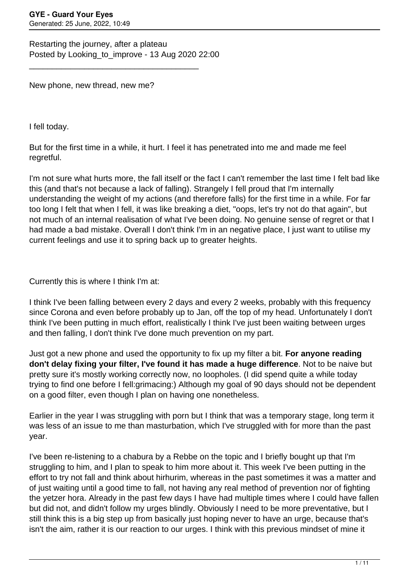Restarting the journey, after a plateau Posted by Looking to improve - 13 Aug 2020 22:00

\_\_\_\_\_\_\_\_\_\_\_\_\_\_\_\_\_\_\_\_\_\_\_\_\_\_\_\_\_\_\_\_\_\_\_\_\_

New phone, new thread, new me?

I fell today.

But for the first time in a while, it hurt. I feel it has penetrated into me and made me feel regretful.

I'm not sure what hurts more, the fall itself or the fact I can't remember the last time I felt bad like this (and that's not because a lack of falling). Strangely I fell proud that I'm internally understanding the weight of my actions (and therefore falls) for the first time in a while. For far too long I felt that when I fell, it was like breaking a diet, "oops, let's try not do that again", but not much of an internal realisation of what I've been doing. No genuine sense of regret or that I had made a bad mistake. Overall I don't think I'm in an negative place, I just want to utilise my current feelings and use it to spring back up to greater heights.

Currently this is where I think I'm at:

I think I've been falling between every 2 days and every 2 weeks, probably with this frequency since Corona and even before probably up to Jan, off the top of my head. Unfortunately I don't think I've been putting in much effort, realistically I think I've just been waiting between urges and then falling, I don't think I've done much prevention on my part.

Just got a new phone and used the opportunity to fix up my filter a bit. **For anyone reading don't delay fixing your filter, I've found it has made a huge difference**. Not to be naive but pretty sure it's mostly working correctly now, no loopholes. (I did spend quite a while today trying to find one before I fell:grimacing:) Although my goal of 90 days should not be dependent on a good filter, even though I plan on having one nonetheless.

Earlier in the year I was struggling with porn but I think that was a temporary stage, long term it was less of an issue to me than masturbation, which I've struggled with for more than the past year.

I've been re-listening to a chabura by a Rebbe on the topic and I briefly bought up that I'm struggling to him, and I plan to speak to him more about it. This week I've been putting in the effort to try not fall and think about hirhurim, whereas in the past sometimes it was a matter and of just waiting until a good time to fall, not having any real method of prevention nor of fighting the yetzer hora. Already in the past few days I have had multiple times where I could have fallen but did not, and didn't follow my urges blindly. Obviously I need to be more preventative, but I still think this is a big step up from basically just hoping never to have an urge, because that's isn't the aim, rather it is our reaction to our urges. I think with this previous mindset of mine it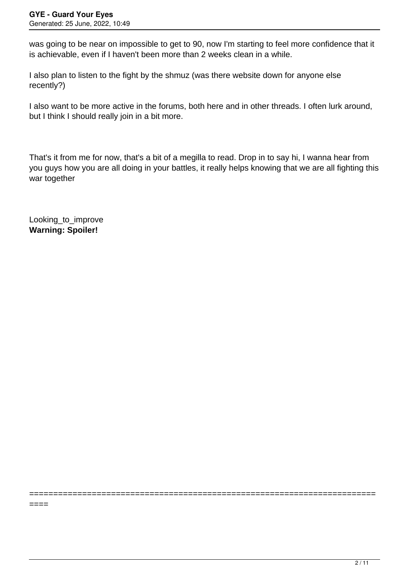was going to be near on impossible to get to 90, now I'm starting to feel more confidence that it is achievable, even if I haven't been more than 2 weeks clean in a while.

I also plan to listen to the fight by the shmuz (was there website down for anyone else recently?)

I also want to be more active in the forums, both here and in other threads. I often lurk around, but I think I should really join in a bit more.

That's it from me for now, that's a bit of a megilla to read. Drop in to say hi, I wanna hear from you guys how you are all doing in your battles, it really helps knowing that we are all fighting this war together

========================================================================

Looking\_to\_improve **Warning: Spoiler!**

====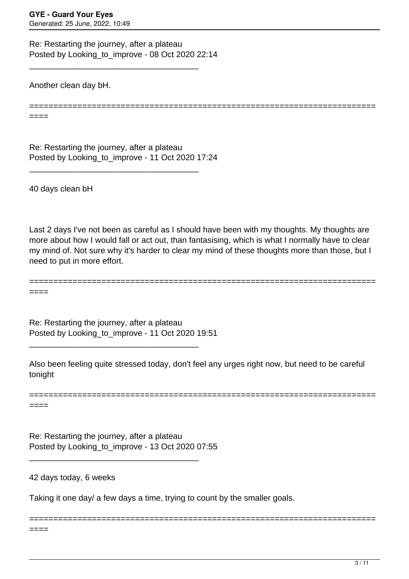Re: Restarting the journey, after a plateau Posted by Looking to improve - 08 Oct 2020 22:14

\_\_\_\_\_\_\_\_\_\_\_\_\_\_\_\_\_\_\_\_\_\_\_\_\_\_\_\_\_\_\_\_\_\_\_\_\_

Another clean day bH.

========================================================================

Re: Restarting the journey, after a plateau Posted by Looking\_to\_improve - 11 Oct 2020 17:24

\_\_\_\_\_\_\_\_\_\_\_\_\_\_\_\_\_\_\_\_\_\_\_\_\_\_\_\_\_\_\_\_\_\_\_\_\_

40 days clean bH

====

Last 2 days I've not been as careful as I should have been with my thoughts. My thoughts are more about how I would fall or act out, than fantasising, which is what I normally have to clear my mind of. Not sure why it's harder to clear my mind of these thoughts more than those, but I need to put in more effort.

======================================================================== ====

Re: Restarting the journey, after a plateau Posted by Looking\_to\_improve - 11 Oct 2020 19:51

\_\_\_\_\_\_\_\_\_\_\_\_\_\_\_\_\_\_\_\_\_\_\_\_\_\_\_\_\_\_\_\_\_\_\_\_\_

Also been feeling quite stressed today, don't feel any urges right now, but need to be careful tonight

======================================================================== ====

========================================================================

Re: Restarting the journey, after a plateau Posted by Looking\_to\_improve - 13 Oct 2020 07:55

\_\_\_\_\_\_\_\_\_\_\_\_\_\_\_\_\_\_\_\_\_\_\_\_\_\_\_\_\_\_\_\_\_\_\_\_\_

42 days today, 6 weeks

Taking it one day/ a few days a time, trying to count by the smaller goals.

====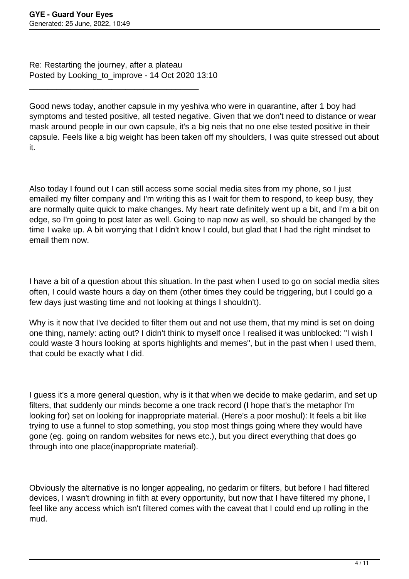Re: Restarting the journey, after a plateau Posted by Looking to improve - 14 Oct 2020 13:10

\_\_\_\_\_\_\_\_\_\_\_\_\_\_\_\_\_\_\_\_\_\_\_\_\_\_\_\_\_\_\_\_\_\_\_\_\_

Good news today, another capsule in my yeshiva who were in quarantine, after 1 boy had symptoms and tested positive, all tested negative. Given that we don't need to distance or wear mask around people in our own capsule, it's a big neis that no one else tested positive in their capsule. Feels like a big weight has been taken off my shoulders, I was quite stressed out about it.

Also today I found out I can still access some social media sites from my phone, so I just emailed my filter company and I'm writing this as I wait for them to respond, to keep busy, they are normally quite quick to make changes. My heart rate definitely went up a bit, and I'm a bit on edge, so I'm going to post later as well. Going to nap now as well, so should be changed by the time I wake up. A bit worrying that I didn't know I could, but glad that I had the right mindset to email them now.

I have a bit of a question about this situation. In the past when I used to go on social media sites often, I could waste hours a day on them (other times they could be triggering, but I could go a few days just wasting time and not looking at things I shouldn't).

Why is it now that I've decided to filter them out and not use them, that my mind is set on doing one thing, namely: acting out? I didn't think to myself once I realised it was unblocked: "I wish I could waste 3 hours looking at sports highlights and memes", but in the past when I used them, that could be exactly what I did.

I guess it's a more general question, why is it that when we decide to make gedarim, and set up filters, that suddenly our minds become a one track record (I hope that's the metaphor I'm looking for) set on looking for inappropriate material. (Here's a poor moshul): It feels a bit like trying to use a funnel to stop something, you stop most things going where they would have gone (eg. going on random websites for news etc.), but you direct everything that does go through into one place(inappropriate material).

Obviously the alternative is no longer appealing, no gedarim or filters, but before I had filtered devices, I wasn't drowning in filth at every opportunity, but now that I have filtered my phone, I feel like any access which isn't filtered comes with the caveat that I could end up rolling in the mud.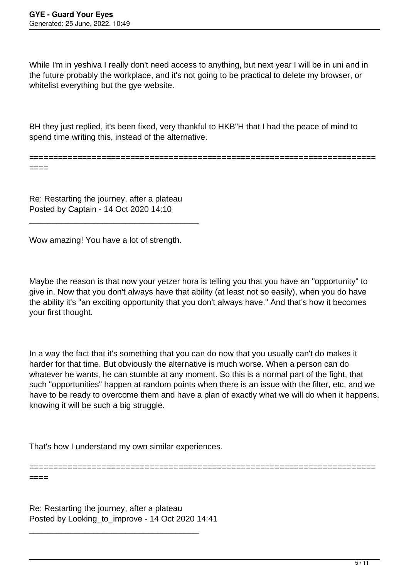While I'm in yeshiva I really don't need access to anything, but next year I will be in uni and in the future probably the workplace, and it's not going to be practical to delete my browser, or whitelist everything but the gye website.

BH they just replied, it's been fixed, very thankful to HKB"H that I had the peace of mind to spend time writing this, instead of the alternative.

========================================================================

====

====

Re: Restarting the journey, after a plateau Posted by Captain - 14 Oct 2020 14:10

\_\_\_\_\_\_\_\_\_\_\_\_\_\_\_\_\_\_\_\_\_\_\_\_\_\_\_\_\_\_\_\_\_\_\_\_\_

Wow amazing! You have a lot of strength.

Maybe the reason is that now your yetzer hora is telling you that you have an "opportunity" to give in. Now that you don't always have that ability (at least not so easily), when you do have the ability it's "an exciting opportunity that you don't always have." And that's how it becomes your first thought.

In a way the fact that it's something that you can do now that you usually can't do makes it harder for that time. But obviously the alternative is much worse. When a person can do whatever he wants, he can stumble at any moment. So this is a normal part of the fight, that such "opportunities" happen at random points when there is an issue with the filter, etc, and we have to be ready to overcome them and have a plan of exactly what we will do when it happens, knowing it will be such a big struggle.

========================================================================

That's how I understand my own similar experiences.

Re: Restarting the journey, after a plateau Posted by Looking to improve - 14 Oct 2020 14:41

\_\_\_\_\_\_\_\_\_\_\_\_\_\_\_\_\_\_\_\_\_\_\_\_\_\_\_\_\_\_\_\_\_\_\_\_\_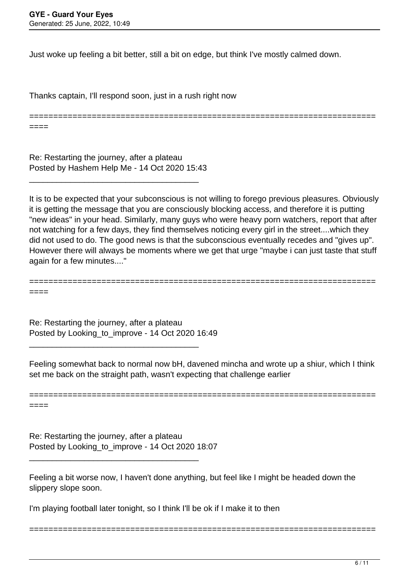Just woke up feeling a bit better, still a bit on edge, but think I've mostly calmed down.

Thanks captain, I'll respond soon, just in a rush right now

======================================================================== ====

Re: Restarting the journey, after a plateau Posted by Hashem Help Me - 14 Oct 2020 15:43

\_\_\_\_\_\_\_\_\_\_\_\_\_\_\_\_\_\_\_\_\_\_\_\_\_\_\_\_\_\_\_\_\_\_\_\_\_

It is to be expected that your subconscious is not willing to forego previous pleasures. Obviously it is getting the message that you are consciously blocking access, and therefore it is putting "new ideas" in your head. Similarly, many guys who were heavy porn watchers, report that after not watching for a few days, they find themselves noticing every girl in the street....which they did not used to do. The good news is that the subconscious eventually recedes and "gives up". However there will always be moments where we get that urge "maybe i can just taste that stuff again for a few minutes...."

======================================================================== ====

Re: Restarting the journey, after a plateau Posted by Looking\_to\_improve - 14 Oct 2020 16:49

\_\_\_\_\_\_\_\_\_\_\_\_\_\_\_\_\_\_\_\_\_\_\_\_\_\_\_\_\_\_\_\_\_\_\_\_\_

Feeling somewhat back to normal now bH, davened mincha and wrote up a shiur, which I think set me back on the straight path, wasn't expecting that challenge earlier

======================================================================== ====

Re: Restarting the journey, after a plateau Posted by Looking\_to\_improve - 14 Oct 2020 18:07

\_\_\_\_\_\_\_\_\_\_\_\_\_\_\_\_\_\_\_\_\_\_\_\_\_\_\_\_\_\_\_\_\_\_\_\_\_

Feeling a bit worse now, I haven't done anything, but feel like I might be headed down the slippery slope soon.

========================================================================

I'm playing football later tonight, so I think I'll be ok if I make it to then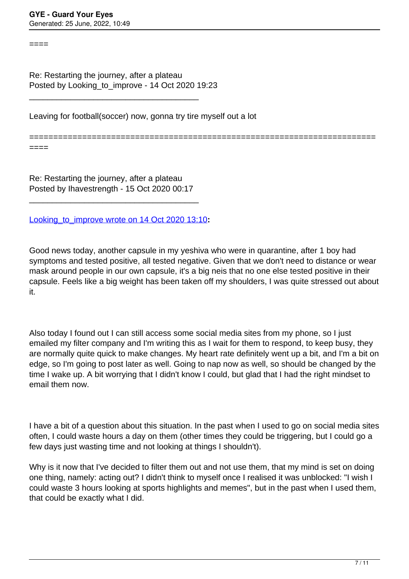====

Re: Restarting the journey, after a plateau Posted by Looking\_to\_improve - 14 Oct 2020 19:23

\_\_\_\_\_\_\_\_\_\_\_\_\_\_\_\_\_\_\_\_\_\_\_\_\_\_\_\_\_\_\_\_\_\_\_\_\_

Leaving for football(soccer) now, gonna try tire myself out a lot

========================================================================

====

Re: Restarting the journey, after a plateau Posted by Ihavestrength - 15 Oct 2020 00:17

\_\_\_\_\_\_\_\_\_\_\_\_\_\_\_\_\_\_\_\_\_\_\_\_\_\_\_\_\_\_\_\_\_\_\_\_\_

[Looking\\_to\\_improve wrote on 14 Oct 2020 13:10](/forum/4-On-the-Way-to-90-Days/356173-Re-Restarting-the-journey-after-a-plateau)**:**

Good news today, another capsule in my yeshiva who were in quarantine, after 1 boy had symptoms and tested positive, all tested negative. Given that we don't need to distance or wear mask around people in our own capsule, it's a big neis that no one else tested positive in their capsule. Feels like a big weight has been taken off my shoulders, I was quite stressed out about it.

Also today I found out I can still access some social media sites from my phone, so I just emailed my filter company and I'm writing this as I wait for them to respond, to keep busy, they are normally quite quick to make changes. My heart rate definitely went up a bit, and I'm a bit on edge, so I'm going to post later as well. Going to nap now as well, so should be changed by the time I wake up. A bit worrying that I didn't know I could, but glad that I had the right mindset to email them now.

I have a bit of a question about this situation. In the past when I used to go on social media sites often, I could waste hours a day on them (other times they could be triggering, but I could go a few days just wasting time and not looking at things I shouldn't).

Why is it now that I've decided to filter them out and not use them, that my mind is set on doing one thing, namely: acting out? I didn't think to myself once I realised it was unblocked: "I wish I could waste 3 hours looking at sports highlights and memes", but in the past when I used them, that could be exactly what I did.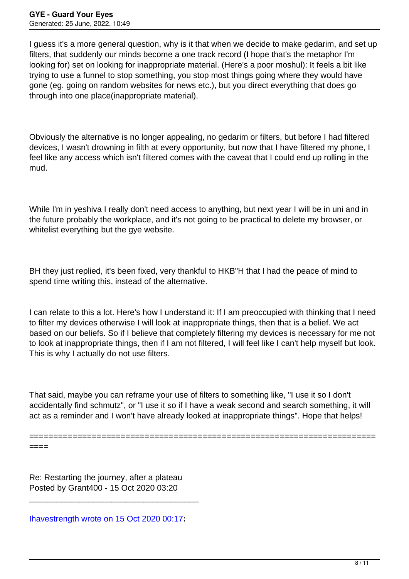I guess it's a more general question, why is it that when we decide to make gedarim, and set up filters, that suddenly our minds become a one track record (I hope that's the metaphor I'm looking for) set on looking for inappropriate material. (Here's a poor moshul): It feels a bit like trying to use a funnel to stop something, you stop most things going where they would have gone (eg. going on random websites for news etc.), but you direct everything that does go through into one place(inappropriate material).

Obviously the alternative is no longer appealing, no gedarim or filters, but before I had filtered devices, I wasn't drowning in filth at every opportunity, but now that I have filtered my phone, I feel like any access which isn't filtered comes with the caveat that I could end up rolling in the mud.

While I'm in yeshiva I really don't need access to anything, but next year I will be in uni and in the future probably the workplace, and it's not going to be practical to delete my browser, or whitelist everything but the ave website.

BH they just replied, it's been fixed, very thankful to HKB"H that I had the peace of mind to spend time writing this, instead of the alternative.

I can relate to this a lot. Here's how I understand it: If I am preoccupied with thinking that I need to filter my devices otherwise I will look at inappropriate things, then that is a belief. We act based on our beliefs. So if I believe that completely filtering my devices is necessary for me not to look at inappropriate things, then if I am not filtered, I will feel like I can't help myself but look. This is why I actually do not use filters.

That said, maybe you can reframe your use of filters to something like, "I use it so I don't accidentally find schmutz", or "I use it so if I have a weak second and search something, it will act as a reminder and I won't have already looked at inappropriate things". Hope that helps!

======================================================================== ====

Re: Restarting the journey, after a plateau Posted by Grant400 - 15 Oct 2020 03:20

[Ihavestrength wrote on 15 Oct 2020 00:17](/forum/4-On-the-Way-to-90-Days/356210-Re-Restarting-the-journey-after-a-plateau)**:**

\_\_\_\_\_\_\_\_\_\_\_\_\_\_\_\_\_\_\_\_\_\_\_\_\_\_\_\_\_\_\_\_\_\_\_\_\_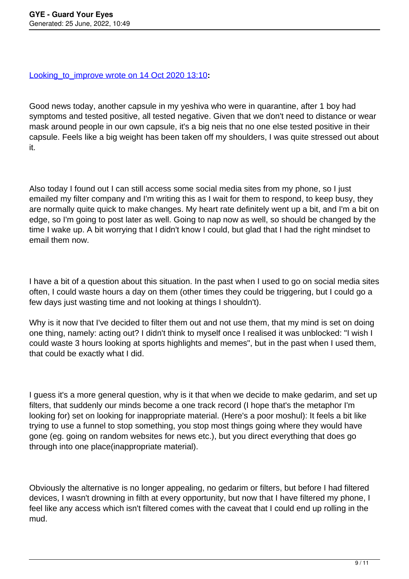## [Looking\\_to\\_improve wrote on 14 Oct 2020 13:10](/forum/4-On-the-Way-to-90-Days/356173-Re-Restarting-the-journey-after-a-plateau)**:**

Good news today, another capsule in my yeshiva who were in quarantine, after 1 boy had symptoms and tested positive, all tested negative. Given that we don't need to distance or wear mask around people in our own capsule, it's a big neis that no one else tested positive in their capsule. Feels like a big weight has been taken off my shoulders, I was quite stressed out about it.

Also today I found out I can still access some social media sites from my phone, so I just emailed my filter company and I'm writing this as I wait for them to respond, to keep busy, they are normally quite quick to make changes. My heart rate definitely went up a bit, and I'm a bit on edge, so I'm going to post later as well. Going to nap now as well, so should be changed by the time I wake up. A bit worrying that I didn't know I could, but glad that I had the right mindset to email them now.

I have a bit of a question about this situation. In the past when I used to go on social media sites often, I could waste hours a day on them (other times they could be triggering, but I could go a few days just wasting time and not looking at things I shouldn't).

Why is it now that I've decided to filter them out and not use them, that my mind is set on doing one thing, namely: acting out? I didn't think to myself once I realised it was unblocked: "I wish I could waste 3 hours looking at sports highlights and memes", but in the past when I used them, that could be exactly what I did.

I guess it's a more general question, why is it that when we decide to make gedarim, and set up filters, that suddenly our minds become a one track record (I hope that's the metaphor I'm looking for) set on looking for inappropriate material. (Here's a poor moshul): It feels a bit like trying to use a funnel to stop something, you stop most things going where they would have gone (eg. going on random websites for news etc.), but you direct everything that does go through into one place(inappropriate material).

Obviously the alternative is no longer appealing, no gedarim or filters, but before I had filtered devices, I wasn't drowning in filth at every opportunity, but now that I have filtered my phone, I feel like any access which isn't filtered comes with the caveat that I could end up rolling in the mud.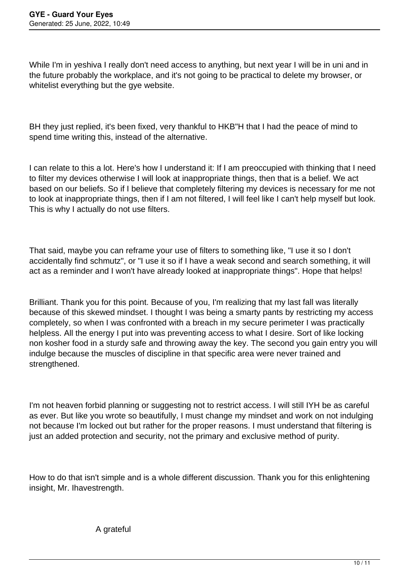While I'm in yeshiva I really don't need access to anything, but next year I will be in uni and in the future probably the workplace, and it's not going to be practical to delete my browser, or whitelist everything but the gye website.

BH they just replied, it's been fixed, very thankful to HKB"H that I had the peace of mind to spend time writing this, instead of the alternative.

I can relate to this a lot. Here's how I understand it: If I am preoccupied with thinking that I need to filter my devices otherwise I will look at inappropriate things, then that is a belief. We act based on our beliefs. So if I believe that completely filtering my devices is necessary for me not to look at inappropriate things, then if I am not filtered, I will feel like I can't help myself but look. This is why I actually do not use filters.

That said, maybe you can reframe your use of filters to something like, "I use it so I don't accidentally find schmutz", or "I use it so if I have a weak second and search something, it will act as a reminder and I won't have already looked at inappropriate things". Hope that helps!

Brilliant. Thank you for this point. Because of you, I'm realizing that my last fall was literally because of this skewed mindset. I thought I was being a smarty pants by restricting my access completely, so when I was confronted with a breach in my secure perimeter I was practically helpless. All the energy I put into was preventing access to what I desire. Sort of like locking non kosher food in a sturdy safe and throwing away the key. The second you gain entry you will indulge because the muscles of discipline in that specific area were never trained and strengthened.

I'm not heaven forbid planning or suggesting not to restrict access. I will still IYH be as careful as ever. But like you wrote so beautifully, I must change my mindset and work on not indulging not because I'm locked out but rather for the proper reasons. I must understand that filtering is just an added protection and security, not the primary and exclusive method of purity.

How to do that isn't simple and is a whole different discussion. Thank you for this enlightening insight, Mr. Ihavestrength.

A grateful